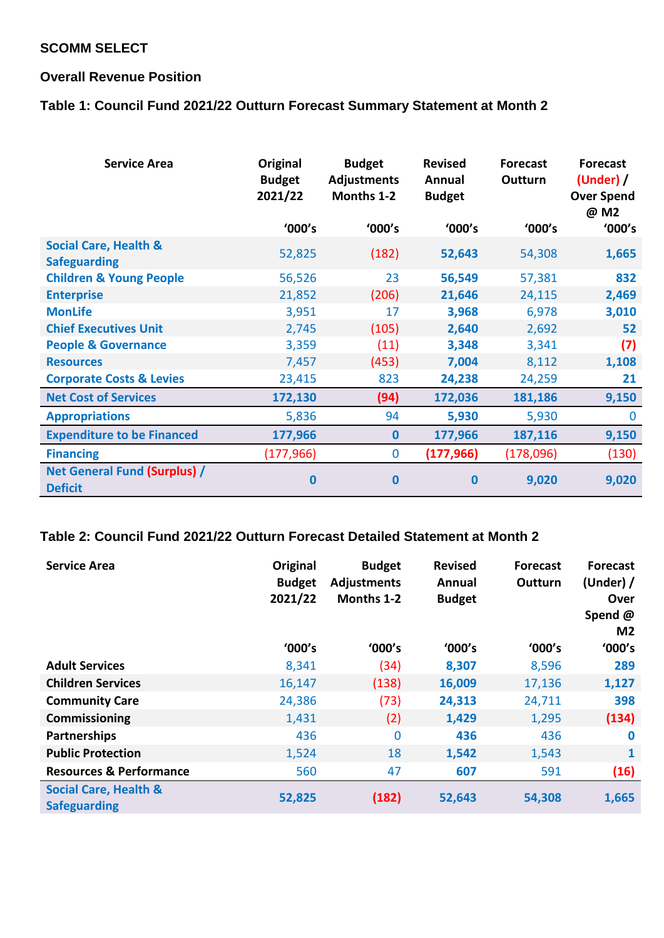# **SCOMM SELECT**

## **Overall Revenue Position**

# **Table 1: Council Fund 2021/22 Outturn Forecast Summary Statement at Month 2**

| <b>Service Area</b>                                     | Original<br><b>Budget</b><br>2021/22<br>'000's | <b>Budget</b><br><b>Adjustments</b><br>Months 1-2<br>'000's | <b>Revised</b><br>Annual<br><b>Budget</b><br>'000's | <b>Forecast</b><br>Outturn<br>'000's | <b>Forecast</b><br>(Under) /<br><b>Over Spend</b><br>@ M2<br>'000's |
|---------------------------------------------------------|------------------------------------------------|-------------------------------------------------------------|-----------------------------------------------------|--------------------------------------|---------------------------------------------------------------------|
| <b>Social Care, Health &amp;</b><br><b>Safeguarding</b> | 52,825                                         | (182)                                                       | 52,643                                              | 54,308                               | 1,665                                                               |
| <b>Children &amp; Young People</b>                      | 56,526                                         | 23                                                          | 56,549                                              | 57,381                               | 832                                                                 |
| <b>Enterprise</b>                                       | 21,852                                         | (206)                                                       | 21,646                                              | 24,115                               | 2,469                                                               |
| <b>MonLife</b>                                          | 3,951                                          | 17                                                          | 3,968                                               | 6,978                                | 3,010                                                               |
| <b>Chief Executives Unit</b>                            | 2,745                                          | (105)                                                       | 2,640                                               | 2,692                                | 52                                                                  |
| <b>People &amp; Governance</b>                          | 3,359                                          | (11)                                                        | 3,348                                               | 3,341                                | (7)                                                                 |
| <b>Resources</b>                                        | 7,457                                          | (453)                                                       | 7,004                                               | 8,112                                | 1,108                                                               |
| <b>Corporate Costs &amp; Levies</b>                     | 23,415                                         | 823                                                         | 24,238                                              | 24,259                               | 21                                                                  |
| <b>Net Cost of Services</b>                             | 172,130                                        | (94)                                                        | 172,036                                             | 181,186                              | 9,150                                                               |
| <b>Appropriations</b>                                   | 5,836                                          | 94                                                          | 5,930                                               | 5,930                                | $\bf{0}$                                                            |
| <b>Expenditure to be Financed</b>                       | 177,966                                        | $\mathbf{0}$                                                | 177,966                                             | 187,116                              | 9,150                                                               |
| <b>Financing</b>                                        | (177, 966)                                     | 0                                                           | (177, 966)                                          | (178,096)                            | (130)                                                               |
| <b>Net General Fund (Surplus) /</b><br><b>Deficit</b>   | 0                                              | 0                                                           | 0                                                   | 9,020                                | 9,020                                                               |

### **Table 2: Council Fund 2021/22 Outturn Forecast Detailed Statement at Month 2**

| <b>Service Area</b>                                     | Original<br><b>Budget</b><br>2021/22 | <b>Budget</b><br><b>Adjustments</b><br>Months 1-2 | <b>Revised</b><br>Annual<br><b>Budget</b> | <b>Forecast</b><br>Outturn | <b>Forecast</b><br>(Under) $/$<br>Over<br>Spend @<br>M <sub>2</sub> |
|---------------------------------------------------------|--------------------------------------|---------------------------------------------------|-------------------------------------------|----------------------------|---------------------------------------------------------------------|
|                                                         | '000's                               | '000's                                            | '000's                                    | '000's                     | '000's                                                              |
| <b>Adult Services</b>                                   | 8,341                                | (34)                                              | 8,307                                     | 8,596                      | 289                                                                 |
| <b>Children Services</b>                                | 16,147                               | (138)                                             | 16,009                                    | 17,136                     | 1,127                                                               |
| <b>Community Care</b>                                   | 24,386                               | (73)                                              | 24,313                                    | 24,711                     | 398                                                                 |
| Commissioning                                           | 1,431                                | (2)                                               | 1,429                                     | 1,295                      | (134)                                                               |
| Partnerships                                            | 436                                  | $\mathbf 0$                                       | 436                                       | 436                        | $\bf{0}$                                                            |
| <b>Public Protection</b>                                | 1,524                                | 18                                                | 1,542                                     | 1,543                      | $\mathbf{1}$                                                        |
| <b>Resources &amp; Performance</b>                      | 560                                  | 47                                                | 607                                       | 591                        | (16)                                                                |
| <b>Social Care, Health &amp;</b><br><b>Safeguarding</b> | 52,825                               | (182)                                             | 52,643                                    | 54,308                     | 1,665                                                               |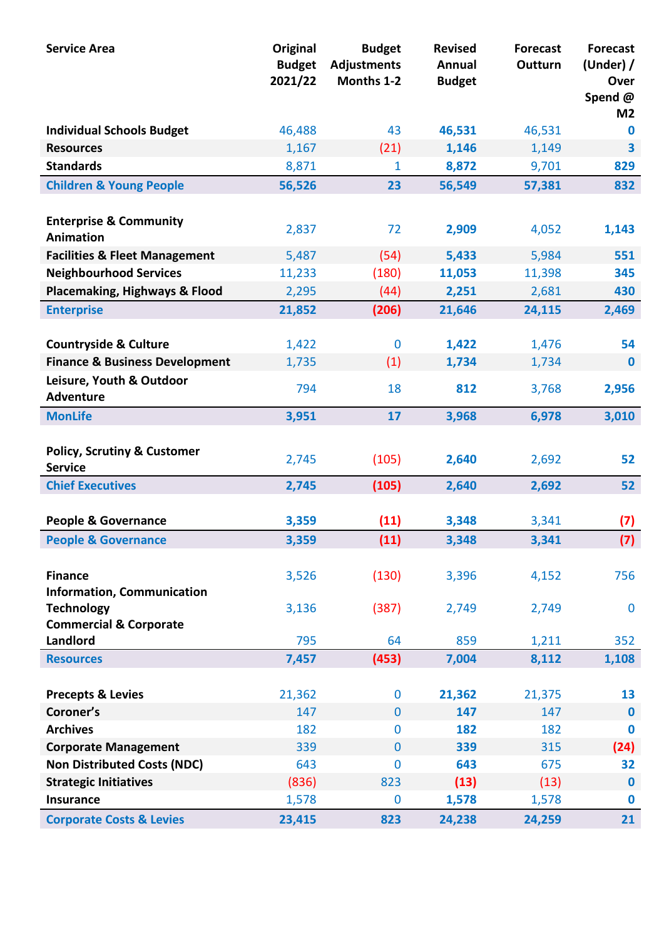| <b>Service Area</b>                                      | Original<br><b>Budget</b><br>2021/22 | <b>Budget</b><br><b>Adjustments</b><br>Months 1-2 | <b>Revised</b><br>Annual<br><b>Budget</b> | <b>Forecast</b><br>Outturn | <b>Forecast</b><br>(Under) $/$<br>Over<br>Spend@<br>M <sub>2</sub> |
|----------------------------------------------------------|--------------------------------------|---------------------------------------------------|-------------------------------------------|----------------------------|--------------------------------------------------------------------|
| <b>Individual Schools Budget</b>                         | 46,488                               | 43                                                | 46,531                                    | 46,531                     | $\bf{0}$                                                           |
| <b>Resources</b>                                         | 1,167                                | (21)                                              | 1,146                                     | 1,149                      | 3                                                                  |
| <b>Standards</b>                                         | 8,871                                | 1                                                 | 8,872                                     | 9,701                      | 829                                                                |
| <b>Children &amp; Young People</b>                       | 56,526                               | 23                                                | 56,549                                    | 57,381                     | 832                                                                |
| <b>Enterprise &amp; Community</b><br>Animation           | 2,837                                | 72                                                | 2,909                                     | 4,052                      | 1,143                                                              |
| <b>Facilities &amp; Fleet Management</b>                 | 5,487                                | (54)                                              | 5,433                                     | 5,984                      | 551                                                                |
| <b>Neighbourhood Services</b>                            | 11,233                               | (180)                                             | 11,053                                    | 11,398                     | 345                                                                |
| <b>Placemaking, Highways &amp; Flood</b>                 | 2,295                                | (44)                                              | 2,251                                     | 2,681                      | 430                                                                |
| <b>Enterprise</b>                                        | 21,852                               | (206)                                             | 21,646                                    | 24,115                     | 2,469                                                              |
| <b>Countryside &amp; Culture</b>                         | 1,422                                | $\bf{0}$                                          | 1,422                                     | 1,476                      | 54                                                                 |
| <b>Finance &amp; Business Development</b>                | 1,735                                | (1)                                               | 1,734                                     | 1,734                      | $\bf{0}$                                                           |
| Leisure, Youth & Outdoor<br><b>Adventure</b>             | 794                                  | 18                                                | 812                                       | 3,768                      | 2,956                                                              |
| <b>MonLife</b>                                           | 3,951                                | 17                                                | 3,968                                     | 6,978                      | 3,010                                                              |
| <b>Policy, Scrutiny &amp; Customer</b><br><b>Service</b> | 2,745                                | (105)                                             | 2,640                                     | 2,692                      | 52                                                                 |
| <b>Chief Executives</b>                                  | 2,745                                | (105)                                             | 2,640                                     | 2,692                      | 52                                                                 |
| <b>People &amp; Governance</b>                           | 3,359                                | (11)                                              | 3,348                                     | 3,341                      | (7)                                                                |
| <b>People &amp; Governance</b>                           | 3,359                                | (11)                                              | 3,348                                     | 3,341                      | (7)                                                                |
| <b>Finance</b><br><b>Information, Communication</b>      | 3,526                                | (130)                                             | 3,396                                     | 4,152                      | 756                                                                |
| <b>Technology</b><br><b>Commercial &amp; Corporate</b>   | 3,136                                | (387)                                             | 2,749                                     | 2,749                      | $\bf{0}$                                                           |
| Landlord                                                 | 795                                  | 64                                                | 859                                       | 1,211                      | 352                                                                |
| <b>Resources</b>                                         | 7,457                                | (453)                                             | 7,004                                     | 8,112                      | 1,108                                                              |
| <b>Precepts &amp; Levies</b>                             | 21,362                               | $\bf{0}$                                          | 21,362                                    | 21,375                     | 13                                                                 |
| Coroner's                                                | 147                                  | $\overline{0}$                                    | 147                                       | 147                        | $\bf{0}$                                                           |
| <b>Archives</b>                                          | 182                                  | $\bf{0}$                                          | 182                                       | 182                        | $\bf{0}$                                                           |
| <b>Corporate Management</b>                              | 339                                  | $\mathbf{0}$                                      | 339                                       | 315                        | (24)                                                               |
| <b>Non Distributed Costs (NDC)</b>                       | 643                                  | $\bf{0}$                                          | 643                                       | 675                        | 32                                                                 |
| <b>Strategic Initiatives</b>                             | (836)                                | 823                                               | (13)                                      | (13)                       | $\bf{0}$                                                           |
| <b>Insurance</b>                                         | 1,578                                | $\bf{0}$                                          | 1,578                                     | 1,578                      | $\bf{0}$                                                           |
| <b>Corporate Costs &amp; Levies</b>                      | 23,415                               | 823                                               | 24,238                                    | 24,259                     | 21                                                                 |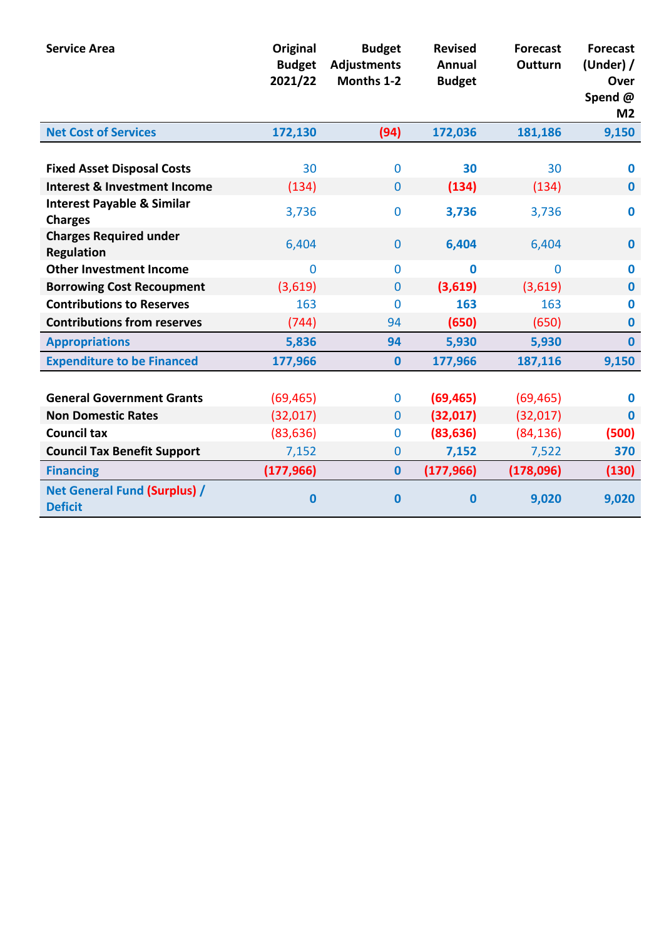| <b>Service Area</b>                                     | Original<br><b>Budget</b><br>2021/22 | <b>Budget</b><br><b>Adjustments</b><br>Months 1-2 | <b>Revised</b><br><b>Annual</b><br><b>Budget</b> | <b>Forecast</b><br>Outturn | <b>Forecast</b><br>(Under) $/$<br>Over<br>Spend@<br>M <sub>2</sub> |
|---------------------------------------------------------|--------------------------------------|---------------------------------------------------|--------------------------------------------------|----------------------------|--------------------------------------------------------------------|
| <b>Net Cost of Services</b>                             | 172,130                              | (94)                                              | 172,036                                          | 181,186                    | 9,150                                                              |
| <b>Fixed Asset Disposal Costs</b>                       | 30                                   | $\mathbf{0}$                                      | 30                                               | 30                         | $\bf{0}$                                                           |
| <b>Interest &amp; Investment Income</b>                 | (134)                                | $\mathbf 0$                                       | (134)                                            | (134)                      | $\bf{0}$                                                           |
| <b>Interest Payable &amp; Similar</b><br><b>Charges</b> | 3,736                                | $\bf{0}$                                          | 3,736                                            | 3,736                      | $\mathbf 0$                                                        |
| <b>Charges Required under</b><br><b>Regulation</b>      | 6,404                                | $\mathbf{0}$                                      | 6,404                                            | 6,404                      | $\bf{0}$                                                           |
| <b>Other Investment Income</b>                          | $\bf{0}$                             | $\bf{0}$                                          | $\bf{0}$                                         | 0                          | $\bf{0}$                                                           |
| <b>Borrowing Cost Recoupment</b>                        | (3,619)                              | $\overline{0}$                                    | (3,619)                                          | (3,619)                    | $\bf{0}$                                                           |
| <b>Contributions to Reserves</b>                        | 163                                  | $\mathbf 0$                                       | 163                                              | 163                        | $\bf{0}$                                                           |
| <b>Contributions from reserves</b>                      | (744)                                | 94                                                | (650)                                            | (650)                      | $\bf{0}$                                                           |
| <b>Appropriations</b>                                   | 5,836                                | 94                                                | 5,930                                            | 5,930                      | $\mathbf{0}$                                                       |
| <b>Expenditure to be Financed</b>                       | 177,966                              | $\bf{0}$                                          | 177,966                                          | 187,116                    | 9,150                                                              |
| <b>General Government Grants</b>                        | (69, 465)                            | $\mathbf 0$                                       | (69, 465)                                        | (69, 465)                  | $\bf{0}$                                                           |
| <b>Non Domestic Rates</b>                               | (32,017)                             | $\mathbf{0}$                                      | (32, 017)                                        | (32,017)                   | $\bf{0}$                                                           |
| <b>Council tax</b>                                      | (83, 636)                            | $\bf{0}$                                          | (83, 636)                                        | (84, 136)                  | (500)                                                              |
| <b>Council Tax Benefit Support</b>                      | 7,152                                | $\bf{0}$                                          | 7,152                                            | 7,522                      | 370                                                                |
| <b>Financing</b>                                        | (177, 966)                           | $\bf{0}$                                          | (177, 966)                                       | (178,096)                  | (130)                                                              |
| <b>Net General Fund (Surplus) /</b><br><b>Deficit</b>   | $\bf{0}$                             | $\bf{0}$                                          | $\mathbf{0}$                                     | 9,020                      | 9,020                                                              |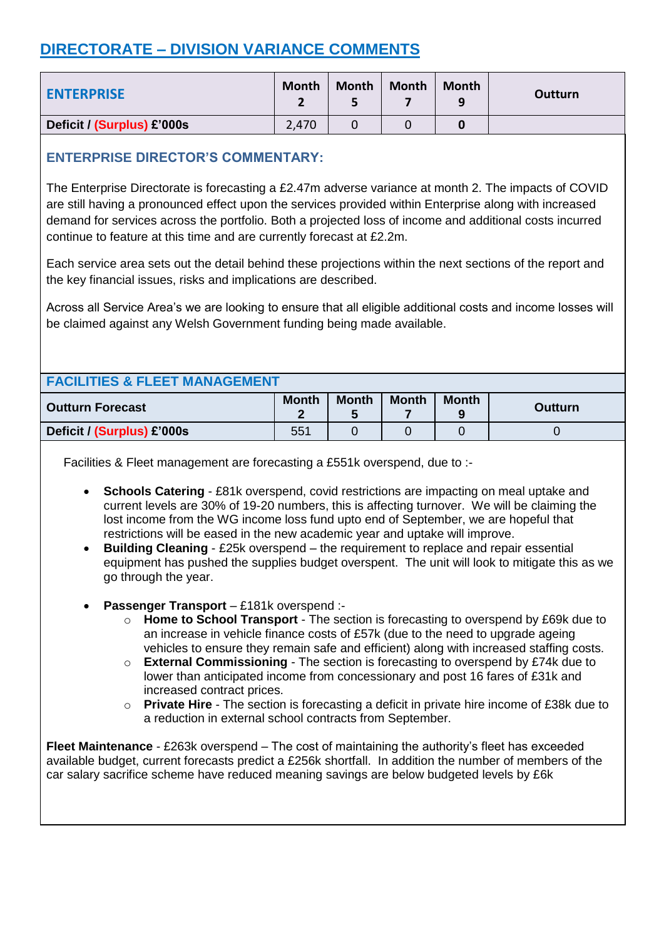# **DIRECTORATE – DIVISION VARIANCE COMMENTS**

| <b>ENTERPRISE</b>          | <b>Month</b> | <b>Month</b> | <b>Month</b> | Month<br>q | Outturn |
|----------------------------|--------------|--------------|--------------|------------|---------|
| Deficit / (Surplus) £'000s | 2,470        |              |              |            |         |

## **ENTERPRISE DIRECTOR'S COMMENTARY:**

The Enterprise Directorate is forecasting a £2.47m adverse variance at month 2. The impacts of COVID are still having a pronounced effect upon the services provided within Enterprise along with increased demand for services across the portfolio. Both a projected loss of income and additional costs incurred continue to feature at this time and are currently forecast at £2.2m.

Each service area sets out the detail behind these projections within the next sections of the report and the key financial issues, risks and implications are described.

Across all Service Area's we are looking to ensure that all eligible additional costs and income losses will be claimed against any Welsh Government funding being made available.

| <b>FACILITIES &amp; FLEET MANAGEMENT</b> |              |              |              |              |                |  |  |  |
|------------------------------------------|--------------|--------------|--------------|--------------|----------------|--|--|--|
| <b>Outturn Forecast</b>                  | <b>Month</b> | <b>Month</b> | <b>Month</b> | <b>Month</b> | <b>Outturn</b> |  |  |  |
| Deficit / (Surplus) £'000s               | 551          |              |              |              |                |  |  |  |

Facilities & Fleet management are forecasting a £551k overspend, due to :-

- **Schools Catering** £81k overspend, covid restrictions are impacting on meal uptake and current levels are 30% of 19-20 numbers, this is affecting turnover. We will be claiming the lost income from the WG income loss fund upto end of September, we are hopeful that restrictions will be eased in the new academic year and uptake will improve.
- **Building Cleaning** £25k overspend the requirement to replace and repair essential equipment has pushed the supplies budget overspent. The unit will look to mitigate this as we go through the year.
- **Passenger Transport**  £181k overspend :
	- o **Home to School Transport** The section is forecasting to overspend by £69k due to an increase in vehicle finance costs of £57k (due to the need to upgrade ageing vehicles to ensure they remain safe and efficient) along with increased staffing costs.
	- o **External Commissioning** The section is forecasting to overspend by £74k due to lower than anticipated income from concessionary and post 16 fares of £31k and increased contract prices.
	- o **Private Hire** The section is forecasting a deficit in private hire income of £38k due to a reduction in external school contracts from September.

**Fleet Maintenance** - £263k overspend – The cost of maintaining the authority's fleet has exceeded available budget, current forecasts predict a £256k shortfall. In addition the number of members of the car salary sacrifice scheme have reduced meaning savings are below budgeted levels by £6k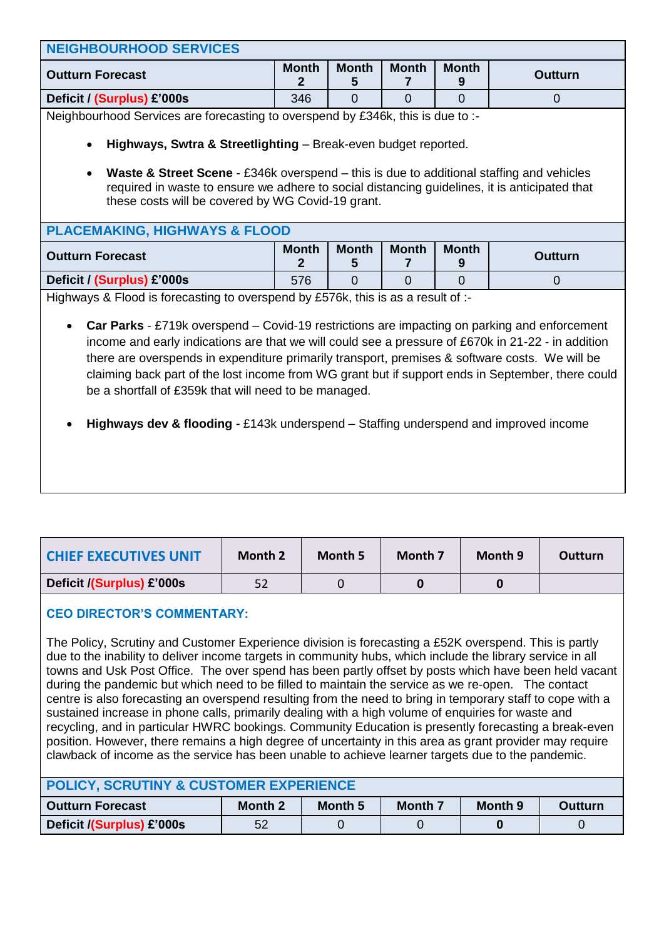| <b>NEIGHBOURHOOD SERVICES</b>                                                                                                                                                                                                                                                                                                                                                                                                                                                                                                                                 |                                                                                                         |                   |              |                   |                |  |  |  |  |
|---------------------------------------------------------------------------------------------------------------------------------------------------------------------------------------------------------------------------------------------------------------------------------------------------------------------------------------------------------------------------------------------------------------------------------------------------------------------------------------------------------------------------------------------------------------|---------------------------------------------------------------------------------------------------------|-------------------|--------------|-------------------|----------------|--|--|--|--|
| <b>Outturn Forecast</b>                                                                                                                                                                                                                                                                                                                                                                                                                                                                                                                                       | <b>Month</b><br><b>Month</b><br><b>Month</b><br><b>Month</b><br><b>Outturn</b><br>$\mathbf 2$<br>5<br>7 |                   |              |                   |                |  |  |  |  |
| Deficit / (Surplus) £'000s                                                                                                                                                                                                                                                                                                                                                                                                                                                                                                                                    | 346                                                                                                     | $\overline{0}$    | $\Omega$     | $\overline{0}$    | $\mathbf 0$    |  |  |  |  |
| Neighbourhood Services are forecasting to overspend by £346k, this is due to :-                                                                                                                                                                                                                                                                                                                                                                                                                                                                               |                                                                                                         |                   |              |                   |                |  |  |  |  |
| Highways, Swtra & Streetlighting - Break-even budget reported.<br>$\bullet$<br><b>Waste &amp; Street Scene</b> - £346k overspend – this is due to additional staffing and vehicles<br>$\bullet$                                                                                                                                                                                                                                                                                                                                                               |                                                                                                         |                   |              |                   |                |  |  |  |  |
| required in waste to ensure we adhere to social distancing guidelines, it is anticipated that<br>these costs will be covered by WG Covid-19 grant.                                                                                                                                                                                                                                                                                                                                                                                                            |                                                                                                         |                   |              |                   |                |  |  |  |  |
| <b>PLACEMAKING, HIGHWAYS &amp; FLOOD</b>                                                                                                                                                                                                                                                                                                                                                                                                                                                                                                                      |                                                                                                         |                   |              |                   |                |  |  |  |  |
| <b>Outturn Forecast</b>                                                                                                                                                                                                                                                                                                                                                                                                                                                                                                                                       | <b>Month</b><br>2                                                                                       | <b>Month</b><br>5 | <b>Month</b> | <b>Month</b><br>9 | <b>Outturn</b> |  |  |  |  |
| Deficit / (Surplus) £'000s                                                                                                                                                                                                                                                                                                                                                                                                                                                                                                                                    | 576                                                                                                     | $\Omega$          | $\Omega$     | $\Omega$          | $\mathbf 0$    |  |  |  |  |
|                                                                                                                                                                                                                                                                                                                                                                                                                                                                                                                                                               |                                                                                                         |                   |              |                   |                |  |  |  |  |
| Highways & Flood is forecasting to overspend by £576k, this is as a result of :-<br><b>Car Parks</b> - £719k overspend – Covid-19 restrictions are impacting on parking and enforcement<br>income and early indications are that we will could see a pressure of £670k in 21-22 - in addition<br>there are overspends in expenditure primarily transport, premises & software costs. We will be<br>claiming back part of the lost income from WG grant but if support ends in September, there could<br>be a shortfall of £359k that will need to be managed. |                                                                                                         |                   |              |                   |                |  |  |  |  |
| Highways dev & flooding - £143k underspend – Staffing underspend and improved income                                                                                                                                                                                                                                                                                                                                                                                                                                                                          |                                                                                                         |                   |              |                   |                |  |  |  |  |

| <b>CHIEF EXECUTIVES UNIT</b> | Month 2 | Month 5 | Month 7 | Month 9 | <b>Outturn</b> |
|------------------------------|---------|---------|---------|---------|----------------|
| Deficit /(Surplus) £'000s    | 52      |         |         |         |                |
|                              |         |         |         |         |                |

#### **CEO DIRECTOR'S COMMENTARY:**

The Policy, Scrutiny and Customer Experience division is forecasting a £52K overspend. This is partly due to the inability to deliver income targets in community hubs, which include the library service in all towns and Usk Post Office. The over spend has been partly offset by posts which have been held vacant during the pandemic but which need to be filled to maintain the service as we re-open. The contact centre is also forecasting an overspend resulting from the need to bring in temporary staff to cope with a sustained increase in phone calls, primarily dealing with a high volume of enquiries for waste and recycling, and in particular HWRC bookings. Community Education is presently forecasting a break-even position. However, there remains a high degree of uncertainty in this area as grant provider may require clawback of income as the service has been unable to achieve learner targets due to the pandemic.

| <b>POLICY, SCRUTINY &amp; CUSTOMER EXPERIENCE</b> |                                                            |  |  |  |  |  |  |  |
|---------------------------------------------------|------------------------------------------------------------|--|--|--|--|--|--|--|
| l Outturn Forecast                                | Month 5<br>Month 9<br>Month 2<br><b>Month 7</b><br>Outturn |  |  |  |  |  |  |  |
| Deficit /(Surplus) £'000s                         | 52                                                         |  |  |  |  |  |  |  |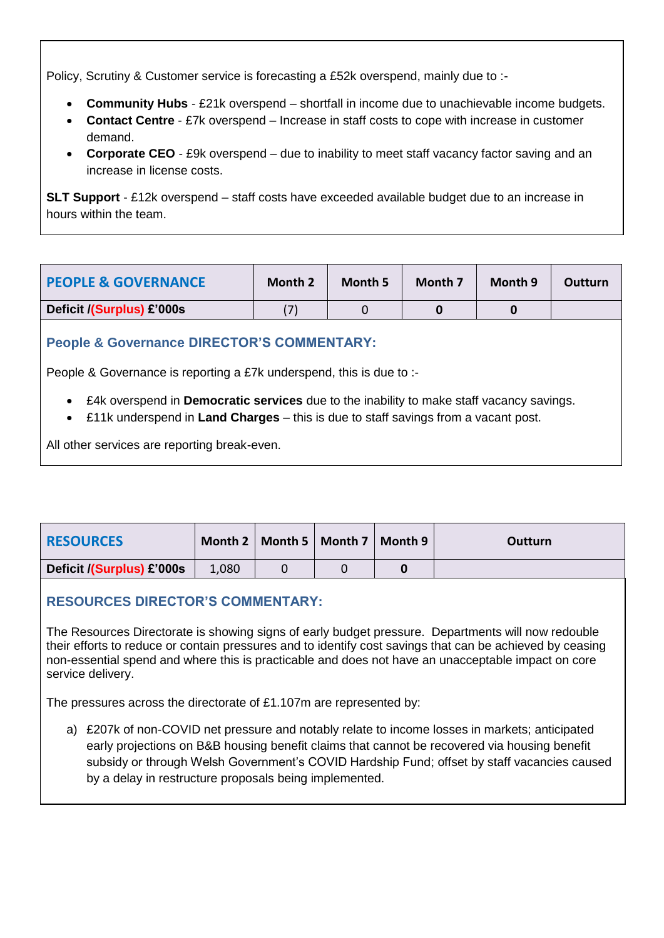Policy, Scrutiny & Customer service is forecasting a £52k overspend, mainly due to :-

- **Community Hubs** £21k overspend shortfall in income due to unachievable income budgets.
- **Contact Centre** £7k overspend Increase in staff costs to cope with increase in customer demand.
- **Corporate CEO** £9k overspend due to inability to meet staff vacancy factor saving and an increase in license costs.

**SLT Support** - £12k overspend – staff costs have exceeded available budget due to an increase in hours within the team.

| <b>PEOPLE &amp; GOVERNANCE</b> | <b>Month 2</b> | Month 5 | Month 7 | Month 9 | <b>Outturn</b> |
|--------------------------------|----------------|---------|---------|---------|----------------|
| Deficit /(Surplus) £'000s      | (7             |         |         |         |                |

## **People & Governance DIRECTOR'S COMMENTARY:**

People & Governance is reporting a £7k underspend, this is due to :-

- £4k overspend in **Democratic services** due to the inability to make staff vacancy savings.
- £11k underspend in **Land Charges** this is due to staff savings from a vacant post.

All other services are reporting break-even.

| <b>RESOURCES</b>          |       | Month 2   Month 5   Month 7   Month 9 | Outturn |
|---------------------------|-------|---------------------------------------|---------|
| Deficit /(Surplus) £'000s | 1,080 |                                       |         |

## **RESOURCES DIRECTOR'S COMMENTARY:**

The Resources Directorate is showing signs of early budget pressure. Departments will now redouble their efforts to reduce or contain pressures and to identify cost savings that can be achieved by ceasing non-essential spend and where this is practicable and does not have an unacceptable impact on core service delivery.

The pressures across the directorate of £1.107m are represented by:

a) £207k of non-COVID net pressure and notably relate to income losses in markets; anticipated early projections on B&B housing benefit claims that cannot be recovered via housing benefit subsidy or through Welsh Government's COVID Hardship Fund; offset by staff vacancies caused by a delay in restructure proposals being implemented.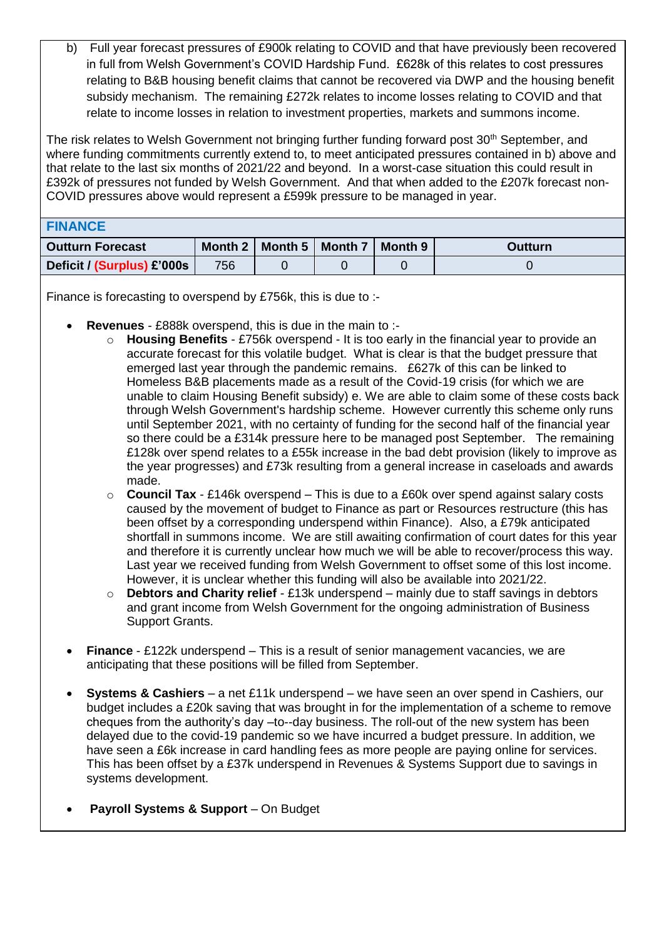b) Full year forecast pressures of £900k relating to COVID and that have previously been recovered in full from Welsh Government's COVID Hardship Fund. £628k of this relates to cost pressures relating to B&B housing benefit claims that cannot be recovered via DWP and the housing benefit subsidy mechanism. The remaining £272k relates to income losses relating to COVID and that relate to income losses in relation to investment properties, markets and summons income.

The risk relates to Welsh Government not bringing further funding forward post 30<sup>th</sup> September, and where funding commitments currently extend to, to meet anticipated pressures contained in b) above and that relate to the last six months of 2021/22 and beyond. In a worst-case situation this could result in £392k of pressures not funded by Welsh Government. And that when added to the £207k forecast non-COVID pressures above would represent a £599k pressure to be managed in year.

| <b>FINANCE</b>             |     |                                       |  |                |
|----------------------------|-----|---------------------------------------|--|----------------|
| <b>Outturn Forecast</b>    |     | Month 2   Month 5   Month 7   Month 9 |  | <b>Outturn</b> |
| Deficit / (Surplus) £'000s | 756 |                                       |  |                |

Finance is forecasting to overspend by £756k, this is due to :-

- **Revenues** £888k overspend, this is due in the main to :
	- o **Housing Benefits** £756k overspend It is too early in the financial year to provide an accurate forecast for this volatile budget. What is clear is that the budget pressure that emerged last year through the pandemic remains. £627k of this can be linked to Homeless B&B placements made as a result of the Covid-19 crisis (for which we are unable to claim Housing Benefit subsidy) e. We are able to claim some of these costs back through Welsh Government's hardship scheme. However currently this scheme only runs until September 2021, with no certainty of funding for the second half of the financial year so there could be a £314k pressure here to be managed post September. The remaining £128k over spend relates to a £55k increase in the bad debt provision (likely to improve as the year progresses) and £73k resulting from a general increase in caseloads and awards made.
	- o **Council Tax** £146k overspend This is due to a £60k over spend against salary costs caused by the movement of budget to Finance as part or Resources restructure (this has been offset by a corresponding underspend within Finance). Also, a £79k anticipated shortfall in summons income. We are still awaiting confirmation of court dates for this year and therefore it is currently unclear how much we will be able to recover/process this way. Last year we received funding from Welsh Government to offset some of this lost income. However, it is unclear whether this funding will also be available into 2021/22.
	- o **Debtors and Charity relief** £13k underspend mainly due to staff savings in debtors and grant income from Welsh Government for the ongoing administration of Business Support Grants.
- **Finance** £122k underspend This is a result of senior management vacancies, we are anticipating that these positions will be filled from September.
- **Systems & Cashiers**  a net £11k underspend we have seen an over spend in Cashiers, our budget includes a £20k saving that was brought in for the implementation of a scheme to remove cheques from the authority's day –to--day business. The roll-out of the new system has been delayed due to the covid-19 pandemic so we have incurred a budget pressure. In addition, we have seen a £6k increase in card handling fees as more people are paying online for services. This has been offset by a £37k underspend in Revenues & Systems Support due to savings in systems development.
- **Payroll Systems & Support**  On Budget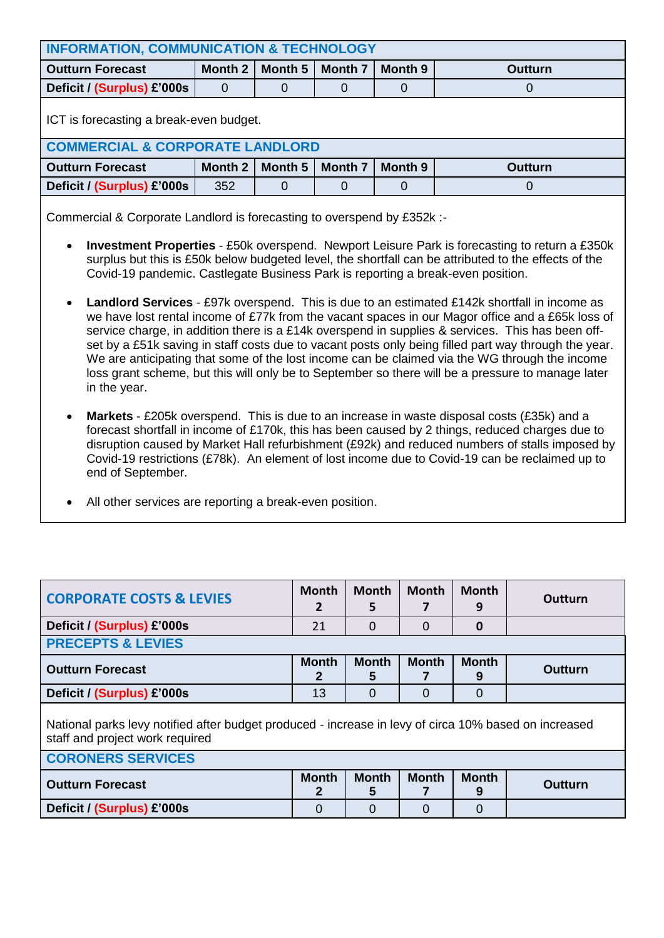| <b>INFORMATION, COMMUNICATION &amp; TECHNOLOGY</b>                                           |         |         |                |         |                |  |  |  |
|----------------------------------------------------------------------------------------------|---------|---------|----------------|---------|----------------|--|--|--|
| <b>Outturn Forecast</b>                                                                      | Month 2 | Month 5 | <b>Month 7</b> | Month 9 | <b>Outturn</b> |  |  |  |
| Deficit / (Surplus) £'000s                                                                   | 0       |         |                | Ő       | O              |  |  |  |
| ICT is forecasting a break-even budget.                                                      |         |         |                |         |                |  |  |  |
| <b>COMMERCIAL &amp; CORPORATE LANDLORD</b>                                                   |         |         |                |         |                |  |  |  |
| Month 9<br><b>Month 7</b><br>Month 5<br>Month 2<br><b>Outturn Forecast</b><br><b>Outturn</b> |         |         |                |         |                |  |  |  |
| Deficit / (Surplus) £'000s                                                                   | 352     |         |                | 0       | 0              |  |  |  |
|                                                                                              |         |         |                |         |                |  |  |  |

Commercial & Corporate Landlord is forecasting to overspend by £352k :-

- **Investment Properties** £50k overspend. Newport Leisure Park is forecasting to return a £350k surplus but this is £50k below budgeted level, the shortfall can be attributed to the effects of the Covid-19 pandemic. Castlegate Business Park is reporting a break-even position.
- **Landlord Services** £97k overspend. This is due to an estimated £142k shortfall in income as we have lost rental income of £77k from the vacant spaces in our Magor office and a £65k loss of service charge, in addition there is a £14k overspend in supplies & services. This has been offset by a £51k saving in staff costs due to vacant posts only being filled part way through the year. We are anticipating that some of the lost income can be claimed via the WG through the income loss grant scheme, but this will only be to September so there will be a pressure to manage later in the year.
- **Markets**  £205k overspend. This is due to an increase in waste disposal costs (£35k) and a forecast shortfall in income of £170k, this has been caused by 2 things, reduced charges due to disruption caused by Market Hall refurbishment (£92k) and reduced numbers of stalls imposed by Covid-19 restrictions (£78k). An element of lost income due to Covid-19 can be reclaimed up to end of September.
- All other services are reporting a break-even position.

| <b>CORPORATE COSTS &amp; LEVIES</b>                                                                                                      | <b>Month</b><br>2 | <b>Month</b><br>5 | <b>Month</b> | <b>Month</b><br>9 | Outturn        |  |  |  |
|------------------------------------------------------------------------------------------------------------------------------------------|-------------------|-------------------|--------------|-------------------|----------------|--|--|--|
| Deficit / (Surplus) £'000s                                                                                                               | 21                | $\mathbf 0$       | 0            | $\bf{0}$          |                |  |  |  |
| <b>PRECEPTS &amp; LEVIES</b>                                                                                                             |                   |                   |              |                   |                |  |  |  |
| <b>Outturn Forecast</b>                                                                                                                  | <b>Month</b>      | <b>Month</b><br>5 | <b>Month</b> | <b>Month</b><br>9 | <b>Outturn</b> |  |  |  |
| Deficit / (Surplus) £'000s                                                                                                               | 13                | $\Omega$          | 0            | $\Omega$          |                |  |  |  |
| National parks levy notified after budget produced - increase in levy of circa 10% based on increased<br>staff and project work required |                   |                   |              |                   |                |  |  |  |
| <b>CORONERS SERVICES</b>                                                                                                                 |                   |                   |              |                   |                |  |  |  |
| <b>Outturn Forecast</b>                                                                                                                  | <b>Month</b><br>2 | <b>Month</b><br>5 | <b>Month</b> | <b>Month</b><br>9 | Outturn        |  |  |  |
| Deficit / (Surplus) £'000s                                                                                                               | 0                 | 0                 | 0            | 0                 |                |  |  |  |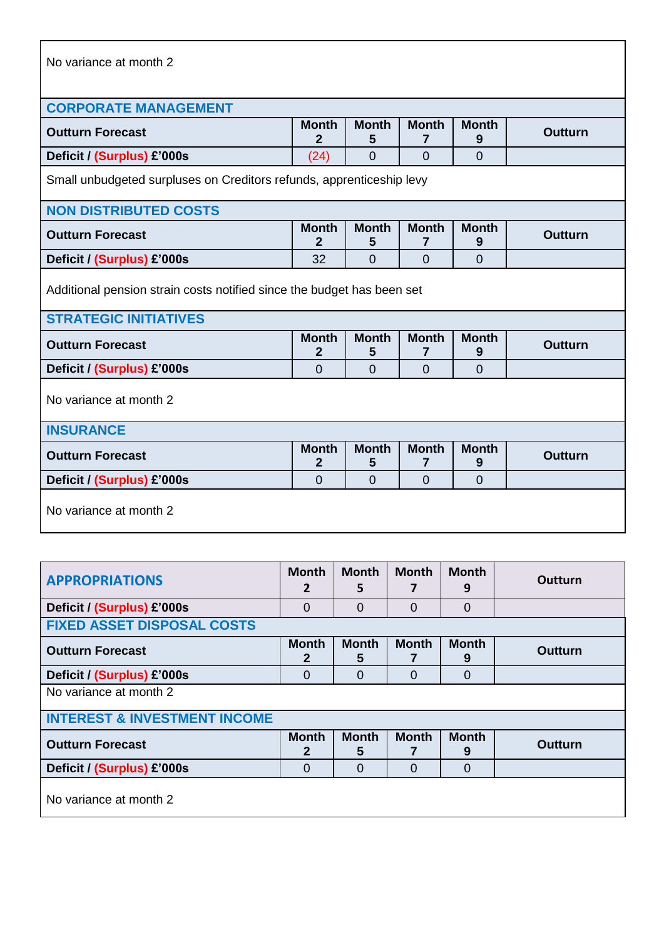| No variance at month 2 |  |
|------------------------|--|
|------------------------|--|

| <b>CORPORATE MANAGEMENT</b>                                                                            |                                                                                                               |                   |                   |                   |                |  |  |  |  |
|--------------------------------------------------------------------------------------------------------|---------------------------------------------------------------------------------------------------------------|-------------------|-------------------|-------------------|----------------|--|--|--|--|
| <b>Outturn Forecast</b>                                                                                | <b>Month</b><br>2                                                                                             | <b>Month</b><br>5 | <b>Month</b><br>7 | <b>Month</b><br>9 | <b>Outturn</b> |  |  |  |  |
| Deficit / (Surplus) £'000s                                                                             | (24)                                                                                                          | 0                 | $\overline{0}$    | $\Omega$          |                |  |  |  |  |
| Small unbudgeted surpluses on Creditors refunds, apprenticeship levy                                   |                                                                                                               |                   |                   |                   |                |  |  |  |  |
| <b>NON DISTRIBUTED COSTS</b>                                                                           |                                                                                                               |                   |                   |                   |                |  |  |  |  |
| <b>Outturn Forecast</b>                                                                                | <b>Month</b><br>$\mathbf{2}$                                                                                  | <b>Month</b><br>5 | <b>Month</b><br>7 | <b>Month</b><br>9 | Outturn        |  |  |  |  |
| Deficit / (Surplus) £'000s                                                                             | 32                                                                                                            | 0                 | $\overline{0}$    | $\overline{0}$    |                |  |  |  |  |
| Additional pension strain costs notified since the budget has been set<br><b>STRATEGIC INITIATIVES</b> |                                                                                                               |                   |                   |                   |                |  |  |  |  |
| <b>Outturn Forecast</b>                                                                                | <b>Month</b><br><b>Month</b><br><b>Month</b><br><b>Month</b><br><b>Outturn</b><br>$\mathbf{2}$<br>5<br>7<br>9 |                   |                   |                   |                |  |  |  |  |
| Deficit / (Surplus) £'000s                                                                             | $\Omega$                                                                                                      | $\Omega$          | $\overline{0}$    | $\Omega$          |                |  |  |  |  |
| No variance at month 2                                                                                 |                                                                                                               |                   |                   |                   |                |  |  |  |  |
| <b>INSURANCE</b>                                                                                       |                                                                                                               |                   |                   |                   |                |  |  |  |  |
| <b>Outturn Forecast</b>                                                                                | <b>Month</b><br><b>Month</b><br><b>Month</b><br><b>Month</b><br><b>Outturn</b><br>2<br>5<br>7<br>9            |                   |                   |                   |                |  |  |  |  |
| Deficit / (Surplus) £'000s                                                                             | $\overline{0}$                                                                                                | $\overline{0}$    | $\overline{0}$    | $\overline{0}$    |                |  |  |  |  |
| No variance at month 2                                                                                 |                                                                                                               |                   |                   |                   |                |  |  |  |  |

| <b>APPROPRIATIONS</b>                   | <b>Month</b><br>2            | <b>Month</b><br>5 | <b>Month</b>   | <b>Month</b><br>9 | Outturn        |  |  |  |  |
|-----------------------------------------|------------------------------|-------------------|----------------|-------------------|----------------|--|--|--|--|
| Deficit / (Surplus) £'000s              | $\Omega$                     | $\Omega$          | $\overline{0}$ | $\overline{0}$    |                |  |  |  |  |
| <b>FIXED ASSET DISPOSAL COSTS</b>       |                              |                   |                |                   |                |  |  |  |  |
| <b>Outturn Forecast</b>                 | <b>Month</b><br>$\mathbf{2}$ | <b>Month</b><br>5 | <b>Month</b>   | <b>Month</b><br>9 | <b>Outturn</b> |  |  |  |  |
| Deficit / (Surplus) £'000s              | $\Omega$                     | $\Omega$          | $\overline{0}$ | $\overline{0}$    |                |  |  |  |  |
| No variance at month 2                  |                              |                   |                |                   |                |  |  |  |  |
| <b>INTEREST &amp; INVESTMENT INCOME</b> |                              |                   |                |                   |                |  |  |  |  |
| <b>Outturn Forecast</b>                 | <b>Month</b><br>$\mathbf{2}$ | <b>Month</b><br>5 | <b>Month</b>   | <b>Month</b><br>9 | <b>Outturn</b> |  |  |  |  |
| Deficit / (Surplus) £'000s              | $\Omega$                     | $\Omega$          | $\Omega$       | 0                 |                |  |  |  |  |
| No variance at month 2                  |                              |                   |                |                   |                |  |  |  |  |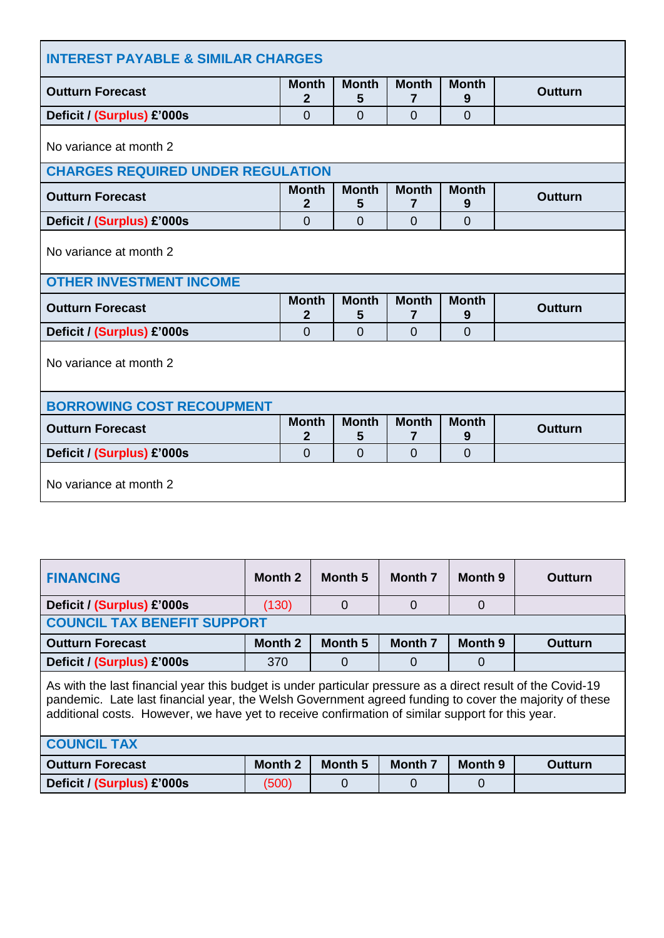| <b>INTEREST PAYABLE &amp; SIMILAR CHARGES</b>                                                                                       |                                                                |                   |                   |                   |                |  |  |  |  |
|-------------------------------------------------------------------------------------------------------------------------------------|----------------------------------------------------------------|-------------------|-------------------|-------------------|----------------|--|--|--|--|
| <b>Outturn Forecast</b>                                                                                                             | <b>Month</b><br>$\mathbf{2}$                                   | <b>Month</b><br>5 | <b>Month</b><br>7 | <b>Month</b><br>9 | <b>Outturn</b> |  |  |  |  |
| Deficit / (Surplus) £'000s                                                                                                          | $\overline{0}$                                                 | $\Omega$          | $\Omega$          | $\overline{0}$    |                |  |  |  |  |
| No variance at month 2                                                                                                              |                                                                |                   |                   |                   |                |  |  |  |  |
| <b>CHARGES REQUIRED UNDER REGULATION</b>                                                                                            |                                                                |                   |                   |                   |                |  |  |  |  |
| <b>Month</b><br><b>Month</b><br><b>Month</b><br><b>Month</b><br><b>Outturn Forecast</b><br>Outturn<br>$\overline{2}$<br>5<br>7<br>9 |                                                                |                   |                   |                   |                |  |  |  |  |
| Deficit / (Surplus) £'000s                                                                                                          | $\overline{0}$                                                 | $\overline{0}$    | 0                 | $\overline{0}$    |                |  |  |  |  |
| No variance at month 2                                                                                                              |                                                                |                   |                   |                   |                |  |  |  |  |
| <b>OTHER INVESTMENT INCOME</b>                                                                                                      |                                                                |                   |                   |                   |                |  |  |  |  |
| <b>Outturn Forecast</b>                                                                                                             | <b>Month</b><br>2                                              | <b>Month</b><br>5 | <b>Month</b><br>7 | <b>Month</b><br>9 | <b>Outturn</b> |  |  |  |  |
| Deficit / (Surplus) £'000s                                                                                                          | $\Omega$                                                       | $\overline{0}$    | $\Omega$          | $\overline{0}$    |                |  |  |  |  |
| No variance at month 2                                                                                                              |                                                                |                   |                   |                   |                |  |  |  |  |
| <b>BORROWING COST RECOUPMENT</b>                                                                                                    |                                                                |                   |                   |                   |                |  |  |  |  |
| <b>Outturn Forecast</b>                                                                                                             | <b>Month</b><br>$\mathbf{2}$                                   | <b>Month</b><br>5 | <b>Month</b><br>7 | <b>Month</b><br>9 | <b>Outturn</b> |  |  |  |  |
| Deficit / (Surplus) £'000s                                                                                                          | $\overline{0}$<br>$\Omega$<br>$\overline{0}$<br>$\overline{0}$ |                   |                   |                   |                |  |  |  |  |
| No variance at month 2                                                                                                              |                                                                |                   |                   |                   |                |  |  |  |  |

| Month 2                                                                                                                                                                                                                                                                                                                   | Month 5        | <b>Month 7</b> | Month 9        | Outturn        |  |  |  |  |
|---------------------------------------------------------------------------------------------------------------------------------------------------------------------------------------------------------------------------------------------------------------------------------------------------------------------------|----------------|----------------|----------------|----------------|--|--|--|--|
| (130)                                                                                                                                                                                                                                                                                                                     | $\Omega$       | 0              | $\Omega$       |                |  |  |  |  |
| <b>COUNCIL TAX BENEFIT SUPPORT</b>                                                                                                                                                                                                                                                                                        |                |                |                |                |  |  |  |  |
| Month 2                                                                                                                                                                                                                                                                                                                   | <b>Month 5</b> | <b>Month 7</b> | <b>Month 9</b> | <b>Outturn</b> |  |  |  |  |
| 370                                                                                                                                                                                                                                                                                                                       | $\overline{0}$ | 0              | $\Omega$       |                |  |  |  |  |
| As with the last financial year this budget is under particular pressure as a direct result of the Covid-19<br>pandemic. Late last financial year, the Welsh Government agreed funding to cover the majority of these<br>additional costs. However, we have yet to receive confirmation of similar support for this year. |                |                |                |                |  |  |  |  |
| <b>COUNCIL TAX</b>                                                                                                                                                                                                                                                                                                        |                |                |                |                |  |  |  |  |
| Month 2                                                                                                                                                                                                                                                                                                                   | <b>Month 5</b> | <b>Month 7</b> | Month 9        | Outturn        |  |  |  |  |
| (500)                                                                                                                                                                                                                                                                                                                     | 0              | 0              | 0              |                |  |  |  |  |
|                                                                                                                                                                                                                                                                                                                           |                |                |                |                |  |  |  |  |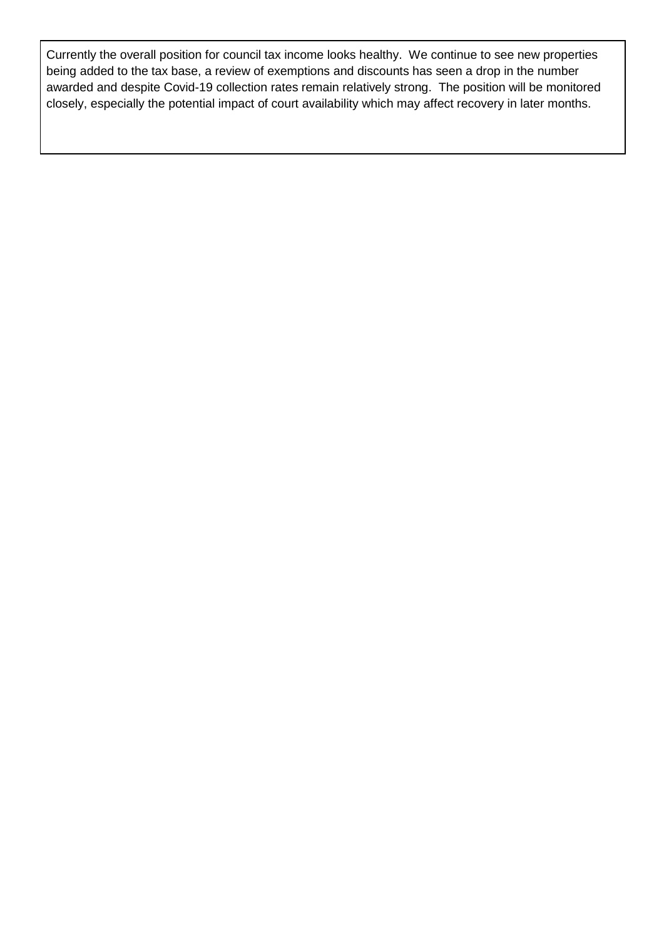Currently the overall position for council tax income looks healthy. We continue to see new properties being added to the tax base, a review of exemptions and discounts has seen a drop in the number awarded and despite Covid-19 collection rates remain relatively strong. The position will be monitored closely, especially the potential impact of court availability which may affect recovery in later months.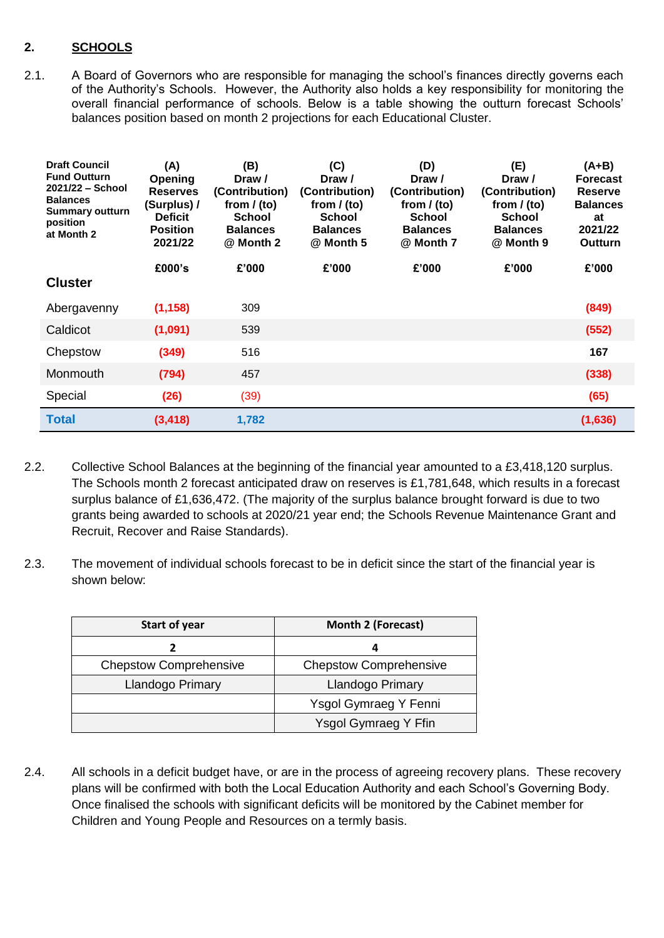## **2. SCHOOLS**

2.1. A Board of Governors who are responsible for managing the school's finances directly governs each of the Authority's Schools. However, the Authority also holds a key responsibility for monitoring the overall financial performance of schools. Below is a table showing the outturn forecast Schools' balances position based on month 2 projections for each Educational Cluster.

| <b>Draft Council</b><br><b>Fund Outturn</b><br>$2021/22 - School$<br><b>Balances</b><br><b>Summary outturn</b><br>position<br>at Month 2 | (A)<br>Opening<br><b>Reserves</b><br>(Surplus) /<br><b>Deficit</b><br><b>Position</b><br>2021/22 | (B)<br>Draw /<br>(Contribution)<br>from $/$ (to)<br>School<br><b>Balances</b><br>@ Month 2 | (C)<br>Draw /<br>(Contribution)<br>from $/$ (to)<br><b>School</b><br><b>Balances</b><br>@ Month 5 | (D)<br>Draw /<br>(Contribution)<br>from $/$ (to)<br><b>School</b><br><b>Balances</b><br>@ Month 7 | (E)<br>Draw /<br>(Contribution)<br>from $/$ (to)<br><b>School</b><br><b>Balances</b><br>@ Month 9 | (A+B)<br><b>Forecast</b><br><b>Reserve</b><br><b>Balances</b><br>at<br>2021/22<br><b>Outturn</b> |
|------------------------------------------------------------------------------------------------------------------------------------------|--------------------------------------------------------------------------------------------------|--------------------------------------------------------------------------------------------|---------------------------------------------------------------------------------------------------|---------------------------------------------------------------------------------------------------|---------------------------------------------------------------------------------------------------|--------------------------------------------------------------------------------------------------|
| <b>Cluster</b>                                                                                                                           | £000's                                                                                           | £'000                                                                                      | £'000                                                                                             | £'000                                                                                             | £'000                                                                                             | £'000                                                                                            |
| Abergavenny                                                                                                                              | (1, 158)                                                                                         | 309                                                                                        |                                                                                                   |                                                                                                   |                                                                                                   | (849)                                                                                            |
| Caldicot                                                                                                                                 | (1,091)                                                                                          | 539                                                                                        |                                                                                                   |                                                                                                   |                                                                                                   | (552)                                                                                            |
| Chepstow                                                                                                                                 | (349)                                                                                            | 516                                                                                        |                                                                                                   |                                                                                                   |                                                                                                   | 167                                                                                              |
| Monmouth                                                                                                                                 | (794)                                                                                            | 457                                                                                        |                                                                                                   |                                                                                                   |                                                                                                   | (338)                                                                                            |
| Special                                                                                                                                  | (26)                                                                                             | (39)                                                                                       |                                                                                                   |                                                                                                   |                                                                                                   | (65)                                                                                             |
| <b>Total</b>                                                                                                                             | (3, 418)                                                                                         | 1,782                                                                                      |                                                                                                   |                                                                                                   |                                                                                                   | (1,636)                                                                                          |

- 2.2. Collective School Balances at the beginning of the financial year amounted to a £3,418,120 surplus. The Schools month 2 forecast anticipated draw on reserves is £1,781,648, which results in a forecast surplus balance of £1,636,472. (The majority of the surplus balance brought forward is due to two grants being awarded to schools at 2020/21 year end; the Schools Revenue Maintenance Grant and Recruit, Recover and Raise Standards).
- 2.3. The movement of individual schools forecast to be in deficit since the start of the financial year is shown below:

| <b>Start of year</b>          | <b>Month 2 (Forecast)</b>     |
|-------------------------------|-------------------------------|
|                               |                               |
| <b>Chepstow Comprehensive</b> | <b>Chepstow Comprehensive</b> |
| Llandogo Primary              | Llandogo Primary              |
|                               | Ysgol Gymraeg Y Fenni         |
|                               | Ysgol Gymraeg Y Ffin          |

2.4. All schools in a deficit budget have, or are in the process of agreeing recovery plans. These recovery plans will be confirmed with both the Local Education Authority and each School's Governing Body. Once finalised the schools with significant deficits will be monitored by the Cabinet member for Children and Young People and Resources on a termly basis.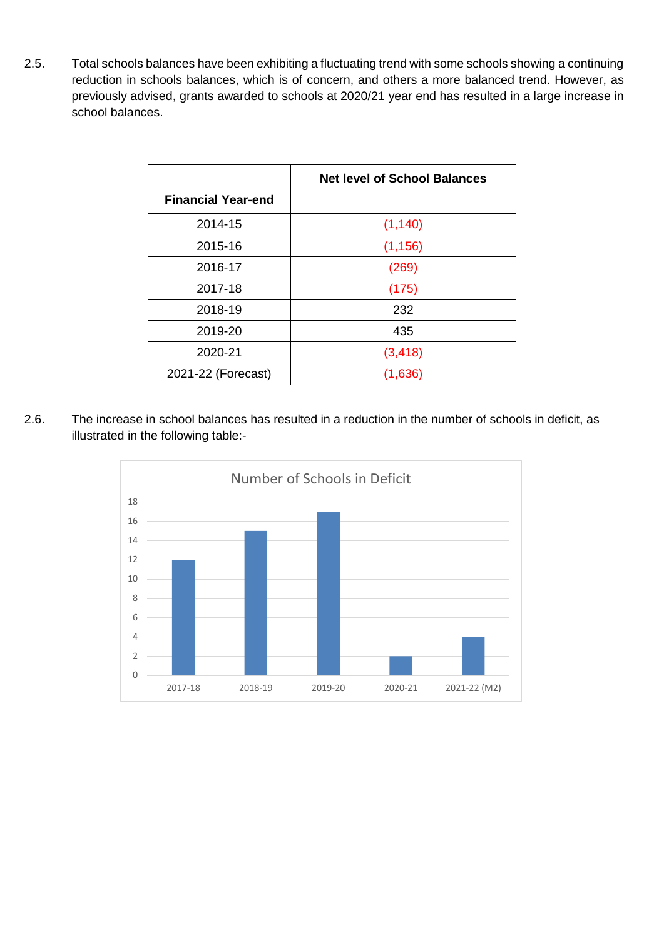2.5. Total schools balances have been exhibiting a fluctuating trend with some schools showing a continuing reduction in schools balances, which is of concern, and others a more balanced trend. However, as previously advised, grants awarded to schools at 2020/21 year end has resulted in a large increase in school balances.

|                           | <b>Net level of School Balances</b> |
|---------------------------|-------------------------------------|
| <b>Financial Year-end</b> |                                     |
| 2014-15                   | (1, 140)                            |
| 2015-16                   | (1, 156)                            |
| 2016-17                   | (269)                               |
| 2017-18                   | (175)                               |
| 2018-19                   | 232                                 |
| 2019-20                   | 435                                 |
| 2020-21                   | (3, 418)                            |
| 2021-22 (Forecast)        | (1,636)                             |

2.6. The increase in school balances has resulted in a reduction in the number of schools in deficit, as illustrated in the following table:-

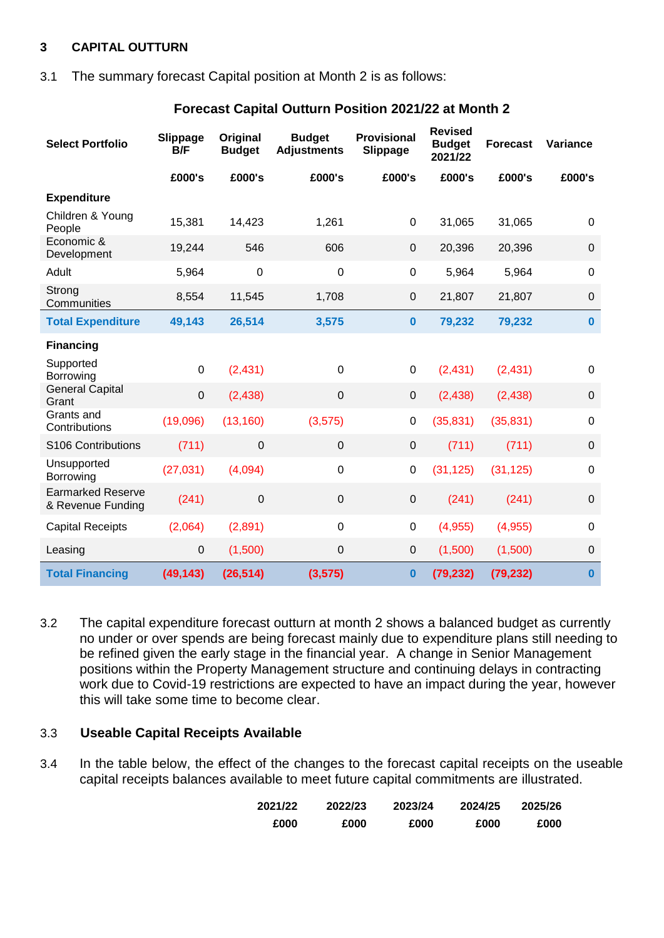### **3 CAPITAL OUTTURN**

3.1 The summary forecast Capital position at Month 2 is as follows:

| <b>Select Portfolio</b>                       | Slippage<br>B/F | Original<br><b>Budget</b> | <b>Budget</b><br><b>Adjustments</b> | <b>Provisional</b><br>Slippage | <b>Revised</b><br><b>Budget</b><br>2021/22 | <b>Forecast</b> | Variance     |
|-----------------------------------------------|-----------------|---------------------------|-------------------------------------|--------------------------------|--------------------------------------------|-----------------|--------------|
|                                               | £000's          | £000's                    | £000's                              | £000's                         | £000's                                     | £000's          | £000's       |
| <b>Expenditure</b>                            |                 |                           |                                     |                                |                                            |                 |              |
| Children & Young<br>People                    | 15,381          | 14,423                    | 1,261                               | $\pmb{0}$                      | 31,065                                     | 31,065          | 0            |
| Economic &<br>Development                     | 19,244          | 546                       | 606                                 | $\pmb{0}$                      | 20,396                                     | 20,396          | $\mathbf 0$  |
| Adult                                         | 5,964           | $\mathbf 0$               | $\mathbf 0$                         | $\pmb{0}$                      | 5,964                                      | 5,964           | $\mathbf 0$  |
| Strong<br>Communities                         | 8,554           | 11,545                    | 1,708                               | $\mathbf 0$                    | 21,807                                     | 21,807          | $\mathbf 0$  |
| <b>Total Expenditure</b>                      | 49,143          | 26,514                    | 3,575                               | $\bf{0}$                       | 79,232                                     | 79,232          | $\mathbf{0}$ |
| <b>Financing</b>                              |                 |                           |                                     |                                |                                            |                 |              |
| Supported<br>Borrowing                        | $\overline{0}$  | (2,431)                   | $\mathbf 0$                         | $\mathbf 0$                    | (2, 431)                                   | (2, 431)        | $\mathbf 0$  |
| <b>General Capital</b><br>Grant               | $\mathbf 0$     | (2, 438)                  | $\overline{0}$                      | $\mathbf 0$                    | (2, 438)                                   | (2, 438)        | $\mathbf 0$  |
| Grants and<br>Contributions                   | (19,096)        | (13, 160)                 | (3,575)                             | $\pmb{0}$                      | (35, 831)                                  | (35, 831)       | $\mathbf 0$  |
| S106 Contributions                            | (711)           | $\mathbf 0$               | $\mathbf 0$                         | $\mathbf 0$                    | (711)                                      | (711)           | $\mathbf 0$  |
| Unsupported<br>Borrowing                      | (27, 031)       | (4,094)                   | $\mathbf 0$                         | 0                              | (31, 125)                                  | (31, 125)       | $\mathbf 0$  |
| <b>Earmarked Reserve</b><br>& Revenue Funding | (241)           | $\pmb{0}$                 | $\boldsymbol{0}$                    | $\pmb{0}$                      | (241)                                      | (241)           | $\mathbf 0$  |
| <b>Capital Receipts</b>                       | (2,064)         | (2,891)                   | $\mathbf 0$                         | $\mathbf 0$                    | (4,955)                                    | (4,955)         | $\mathbf 0$  |
| Leasing                                       | $\pmb{0}$       | (1,500)                   | $\mathbf 0$                         | $\pmb{0}$                      | (1,500)                                    | (1,500)         | $\mathbf 0$  |
| <b>Total Financing</b>                        | (49, 143)       | (26, 514)                 | (3, 575)                            | 0                              | (79, 232)                                  | (79, 232)       | $\bf{0}$     |

#### **Forecast Capital Outturn Position 2021/22 at Month 2**

3.2 The capital expenditure forecast outturn at month 2 shows a balanced budget as currently no under or over spends are being forecast mainly due to expenditure plans still needing to be refined given the early stage in the financial year. A change in Senior Management positions within the Property Management structure and continuing delays in contracting work due to Covid-19 restrictions are expected to have an impact during the year, however this will take some time to become clear.

#### 3.3 **Useable Capital Receipts Available**

3.4 In the table below, the effect of the changes to the forecast capital receipts on the useable capital receipts balances available to meet future capital commitments are illustrated.

| 2021/22 | 2022/23 | 2023/24 | 2024/25 | 2025/26 |
|---------|---------|---------|---------|---------|
| £000    | £000    | £000    | £000    | £000    |